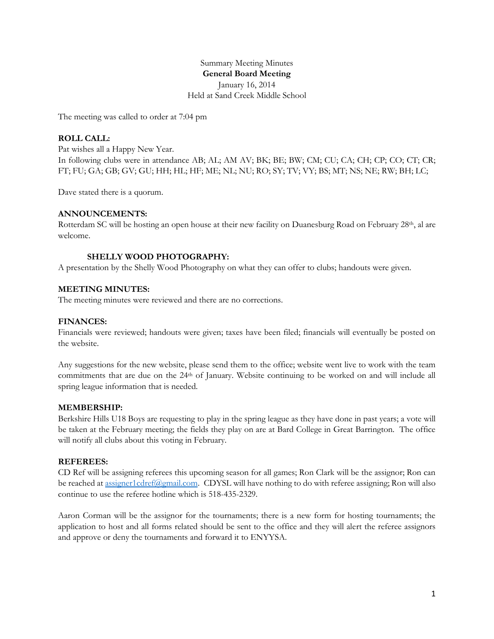Summary Meeting Minutes **General Board Meeting** January 16, 2014 Held at Sand Creek Middle School

The meeting was called to order at 7:04 pm

# **ROLL CALL:**

Pat wishes all a Happy New Year. In following clubs were in attendance AB; AL; AM AV; BK; BE; BW; CM; CU; CA; CH; CP; CO; CT; CR; FT; FU; GA; GB; GV; GU; HH; HL; HF; ME; NL; NU; RO; SY; TV; VY; BS; MT; NS; NE; RW; BH; LC;

Dave stated there is a quorum.

# **ANNOUNCEMENTS:**

Rotterdam SC will be hosting an open house at their new facility on Duanesburg Road on February 28<sup>th</sup>, al are welcome.

# **SHELLY WOOD PHOTOGRAPHY:**

A presentation by the Shelly Wood Photography on what they can offer to clubs; handouts were given.

# **MEETING MINUTES:**

The meeting minutes were reviewed and there are no corrections.

#### **FINANCES:**

Financials were reviewed; handouts were given; taxes have been filed; financials will eventually be posted on the website.

Any suggestions for the new website, please send them to the office; website went live to work with the team commitments that are due on the 24th of January. Website continuing to be worked on and will include all spring league information that is needed.

#### **MEMBERSHIP:**

Berkshire Hills U18 Boys are requesting to play in the spring league as they have done in past years; a vote will be taken at the February meeting; the fields they play on are at Bard College in Great Barrington. The office will notify all clubs about this voting in February.

# **REFEREES:**

CD Ref will be assigning referees this upcoming season for all games; Ron Clark will be the assignor; Ron can be reached at [assigner1cdref@gmail.com.](mailto:assigner1cdref@gmail.com) CDYSL will have nothing to do with referee assigning; Ron will also continue to use the referee hotline which is 518-435-2329.

Aaron Corman will be the assignor for the tournaments; there is a new form for hosting tournaments; the application to host and all forms related should be sent to the office and they will alert the referee assignors and approve or deny the tournaments and forward it to ENYYSA.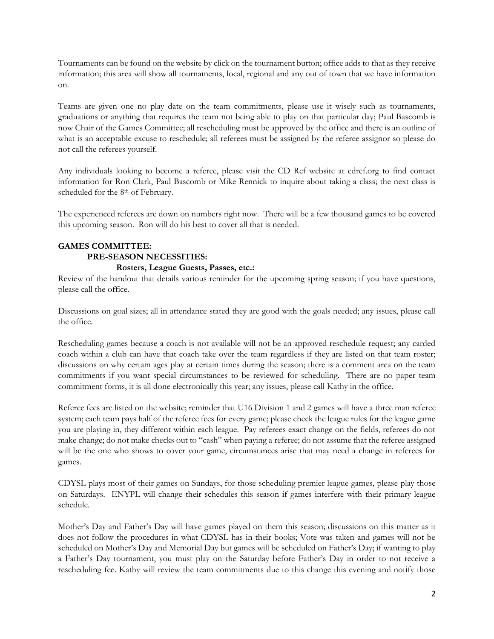Tournaments can be found on the website by click on the tournament button; office adds to that as they receive information; this area will show all tournaments, local, regional and any out of town that we have information on.

Teams are given one no play date on the team commitments, please use it wisely such as tournaments, graduations or anything that requires the team not being able to play on that particular day; Paul Bascomb is now Chair of the Games Committee; all rescheduling must be approved by the office and there is an outline of what is an acceptable excuse to reschedule; all referees must be assigned by the referee assignor so please do not call the referees yourself.

Any individuals looking to become a referee, please visit the CD Ref website at cdref.org to find contact information for Ron Clark, Paul Bascomb or Mike Rennick to inquire about taking a class; the next class is scheduled for the 8<sup>th</sup> of February.

The experienced referees are down on numbers right now. There will be a few thousand games to be covered this upcoming season. Ron will do his best to cover all that is needed.

# **GAMES COMMITTEE: PRE-SEASON NECESSITIES:**

# **Rosters, League Guests, Passes, etc.:**

Review of the handout that details various reminder for the upcoming spring season; if you have questions, please call the office.

Discussions on goal sizes; all in attendance stated they are good with the goals needed; any issues, please call the office.

Rescheduling games because a coach is not available will not be an approved reschedule request; any carded coach within a club can have that coach take over the team regardless if they are listed on that team roster; discussions on why certain ages play at certain times during the season; there is a comment area on the team commitments if you want special circumstances to be reviewed for scheduling. There are no paper team commitment forms, it is all done electronically this year; any issues, please call Kathy in the office.

Referee fees are listed on the website; reminder that U16 Division 1 and 2 games will have a three man referee system; each team pays half of the referee fees for every game; please check the league rules for the league game you are playing in, they different within each league. Pay referees exact change on the fields, referees do not make change; do not make checks out to "cash" when paying a referee; do not assume that the referee assigned will be the one who shows to cover your game, circumstances arise that may need a change in referees for games.

CDYSL plays most of their games on Sundays, for those scheduling premier league games, please play those on Saturdays. ENYPL will change their schedules this season if games interfere with their primary league schedule.

Mother's Day and Father's Day will have games played on them this season; discussions on this matter as it does not follow the procedures in what CDYSL has in their books; Vote was taken and games will not be scheduled on Mother's Day and Memorial Day but games will be scheduled on Father's Day; if wanting to play a Father's Day tournament, you must play on the Saturday before Father's Day in order to not receive a rescheduling fee. Kathy will review the team commitments due to this change this evening and notify those